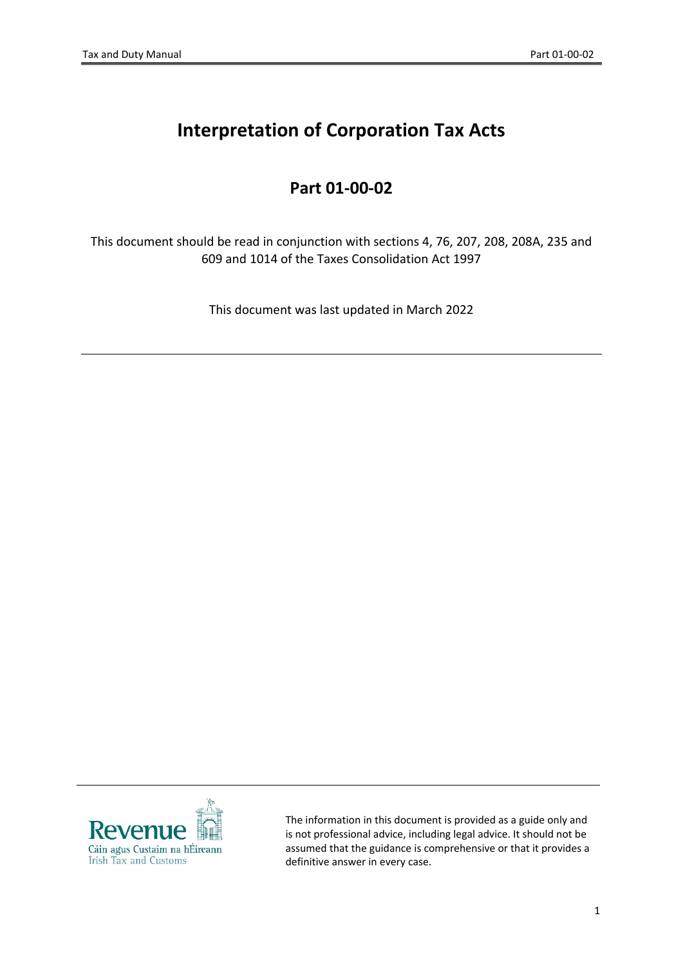# **Interpretation of Corporation Tax Acts**

# **Part 01-00-02**

This document should be read in conjunction with sections 4, 76, 207, 208, 208A, 235 and 609 and 1014 of the Taxes Consolidation Act 1997

This document was last updated in March 2022



The information in this document is provided as a guide only and is not professional advice, including legal advice. It should not be assumed that the guidance is comprehensive or that it provides a definitive answer in every case.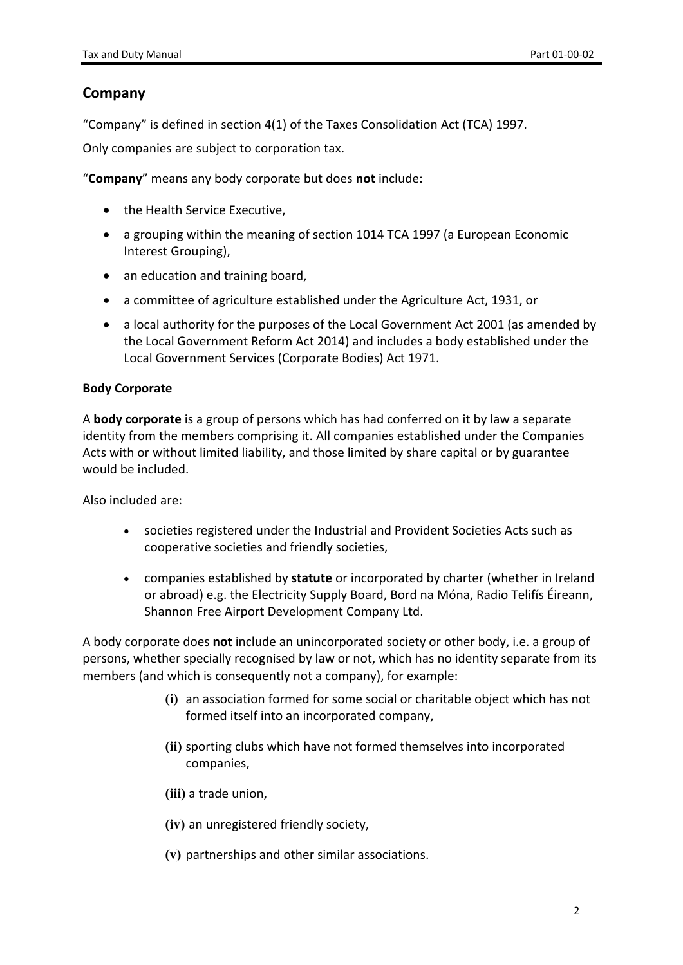### **Company**

"Company" is defined in section 4(1) of the Taxes Consolidation Act (TCA) 1997.

Only companies are subject to corporation tax.

"**Company**" means any body corporate but does **not** include:

- the Health Service Executive,
- a grouping within the meaning of section 1014 TCA 1997 (a European Economic Interest Grouping),
- an education and training board,
- a committee of agriculture established under the Agriculture Act, 1931, or
- a local authority for the purposes of the Local Government Act 2001 (as amended by the Local Government Reform Act 2014) and includes a body established under the Local Government Services (Corporate Bodies) Act 1971.

#### **Body Corporate**

A **body corporate** is a group of persons which has had conferred on it by law a separate identity from the members comprising it. All companies established under the Companies Acts with or without limited liability, and those limited by share capital or by guarantee would be included.

Also included are:

- societies registered under the Industrial and Provident Societies Acts such as cooperative societies and friendly societies,
- companies established by **statute** or incorporated by charter (whether in Ireland or abroad) e.g. the Electricity Supply Board, Bord na Móna, Radio Telifís Éireann, Shannon Free Airport Development Company Ltd.

A body corporate does **not** include an unincorporated society or other body, i.e. a group of persons, whether specially recognised by law or not, which has no identity separate from its members (and which is consequently not a company), for example:

- **(i)** an association formed for some social or charitable object which has not formed itself into an incorporated company,
- **(ii)** sporting clubs which have not formed themselves into incorporated companies,
- **(iii)** a trade union,
- **(iv)** an unregistered friendly society,
- **(v)** partnerships and other similar associations.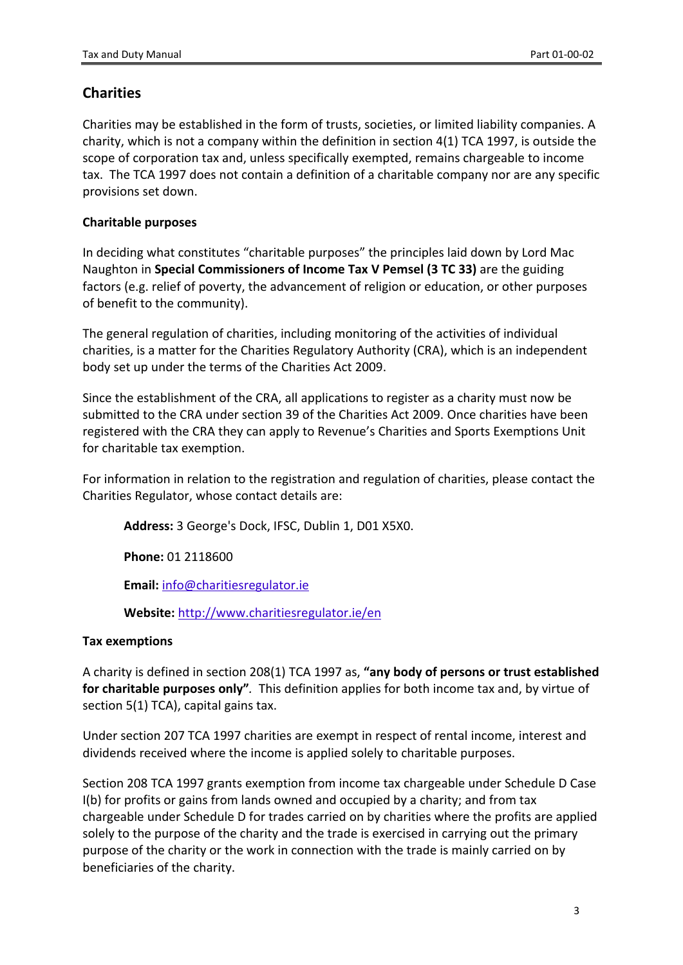## **Charities**

Charities may be established in the form of trusts, societies, or limited liability companies. A charity, which is not a company within the definition in section 4(1) TCA 1997, is outside the scope of corporation tax and, unless specifically exempted, remains chargeable to income tax. The TCA 1997 does not contain a definition of a charitable company nor are any specific provisions set down.

#### **Charitable purposes**

In deciding what constitutes "charitable purposes" the principles laid down by Lord Mac Naughton in **Special Commissioners of Income Tax V Pemsel (3 TC 33)** are the guiding factors (e.g. relief of poverty, the advancement of religion or education, or other purposes of benefit to the community).

The general regulation of charities, including monitoring of the activities of individual charities, is a matter for the Charities Regulatory Authority (CRA), which is an independent body set up under the terms of the Charities Act 2009.

Since the establishment of the CRA, all applications to register as a charity must now be submitted to the CRA under section 39 of the Charities Act 2009. Once charities have been registered with the CRA they can apply to Revenue's Charities and Sports Exemptions Unit for charitable tax exemption.

For information in relation to the registration and regulation of charities, please contact the Charities Regulator, whose contact details are:

**Address:** 3 George's Dock, IFSC, Dublin 1, D01 X5X0.

**Phone:** 01 2118600

**Email:** [info@charitiesregulator.ie](mailto:info@charitiesregulator.ie)

**Website:** <http://www.charitiesregulator.ie/en>

#### **Tax exemptions**

A charity is defined in section 208(1) TCA 1997 as, **"any body of persons or trust established for charitable purposes only"***.* This definition applies for both income tax and, by virtue of section 5(1) TCA), capital gains tax.

Under section 207 TCA 1997 charities are exempt in respect of rental income, interest and dividends received where the income is applied solely to charitable purposes.

Section 208 TCA 1997 grants exemption from income tax chargeable under Schedule D Case I(b) for profits or gains from lands owned and occupied by a charity; and from tax chargeable under Schedule D for trades carried on by charities where the profits are applied solely to the purpose of the charity and the trade is exercised in carrying out the primary purpose of the charity or the work in connection with the trade is mainly carried on by beneficiaries of the charity.